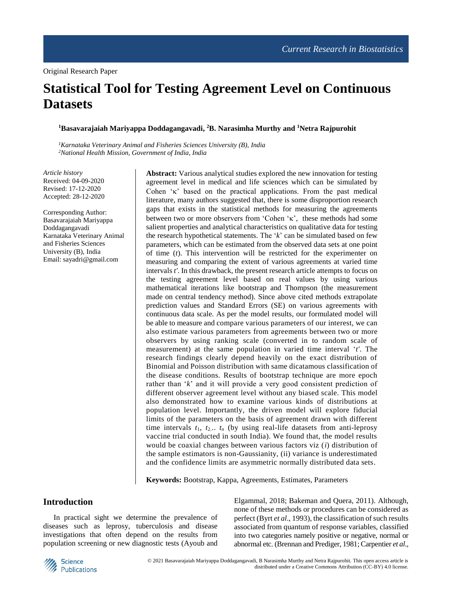# **Statistical Tool for Testing Agreement Level on Continuous Datasets**

#### **<sup>1</sup>Basavarajaiah Mariyappa Doddagangavadi, <sup>2</sup>B. Narasimha Murthy and <sup>1</sup>Netra Rajpurohit**

*<sup>1</sup>Karnataka Veterinary Animal and Fisheries Sciences University (B), India <sup>2</sup>National Health Mission, Government of India, India*

*Article history* Received: 04-09-2020 Revised: 17-12-2020 Accepted: 28-12-2020

Corresponding Author: Basavarajaiah Mariyappa Doddagangavadi Karnataka Veterinary Animal and Fisheries Sciences University (B), India Email: sayadri@gmail.com

**Abstract:** Various analytical studies explored the new innovation for testing agreement level in medical and life sciences which can be simulated by Cohen  $\kappa$ ' based on the practical applications. From the past medical literature, many authors suggested that, there is some disproportion research gaps that exists in the statistical methods for measuring the agreements between two or more observers from 'Cohen ' $\kappa$ ', these methods had some salient properties and analytical characteristics on qualitative data for testing the research hypothetical statements. The '*k*' can be simulated based on few parameters, which can be estimated from the observed data sets at one point of time (*t*). This intervention will be restricted for the experimenter on measuring and comparing the extent of various agreements at varied time intervals *t'*. In this drawback, the present research article attempts to focus on the testing agreement level based on real values by using various mathematical iterations like bootstrap and Thompson (the measurement made on central tendency method). Since above cited methods extrapolate prediction values and Standard Errors (SE) on various agreements with continuous data scale. As per the model results, our formulated model will be able to measure and compare various parameters of our interest, we can also estimate various parameters from agreements between two or more observers by using ranking scale (converted in to random scale of measurement) at the same population in varied time interval '*t'*. The research findings clearly depend heavily on the exact distribution of Binomial and Poisson distribution with same dicatamous classification of the disease conditions. Results of bootstrap technique are more epoch rather than '*k*' and it will provide a very good consistent prediction of different observer agreement level without any biased scale. This model also demonstrated how to examine various kinds of distributions at population level. Importantly, the driven model will explore fiducial limits of the parameters on the basis of agreement drawn with different time intervals  $t_1$ ,  $t_2$ ...  $t_n$  (by using real-life datasets from anti-leprosy vaccine trial conducted in south India). We found that, the model results would be coaxial changes between various factors viz (*i*) distribution of the sample estimators is non-Gaussianity, (ii) variance is underestimated and the confidence limits are asymmetric normally distributed data sets.

**Keywords:** Bootstrap, Kappa, Agreements, Estimates, Parameters

# **Introduction**

In practical sight we determine the prevalence of diseases such as leprosy, tuberculosis and disease investigations that often depend on the results from population screening or new diagnostic tests (Ayoub and Elgammal, 2018; Bakeman and Quera, 2011). Although, none of these methods or procedures can be considered as perfect (Byrt *et al*., 1993), the classification of such results associated from quantum of response variables, classified into two categories namely positive or negative, normal or abnormal etc. (Brennan and Prediger, 1981; Carpentier *et al*.,

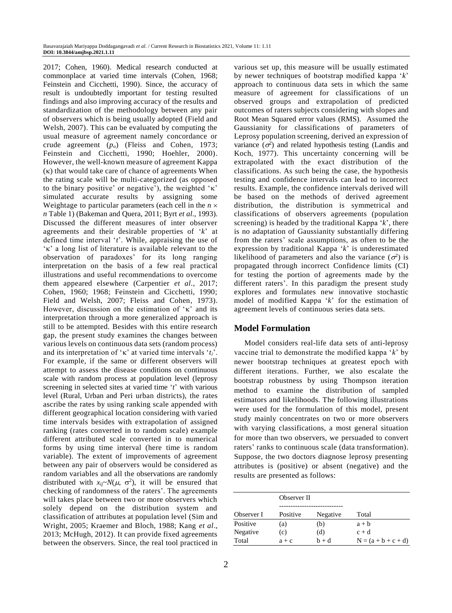2017; Cohen, 1960). Medical research conducted at commonplace at varied time intervals (Cohen, 1968; Feinstein and Cicchetti, 1990). Since, the accuracy of result is undoubtedly important for testing resulted findings and also improving accuracy of the results and standardization of the methodology between any pair of observers which is being usually adopted (Field and Welsh, 2007). This can be evaluated by computing the usual measure of agreement namely concordance or crude agreement (*po*) (Fleiss and Cohen, 1973; Feinstein and Cicchetti, 1990; Hoehler, 2000). However, the well-known measure of agreement Kappa  $(\kappa)$  that would take care of chance of agreements When the rating scale will be multi-categorized (as opposed to the binary positive' or negative'), the weighted ' $\kappa$ ' simulated accurate results by assigning some Weightage to particular parameters (each cell in the  $n \times$ *n* Table 1) (Bakeman and Quera, 2011; Byrt *et al*., 1993). Discussed the different measures of inter observer agreements and their desirable properties of '*k*' at defined time interval '*t*'. While, appraising the use of  $\kappa$  a long list of literature is available relevant to the observation of paradoxes' for its long ranging interpretation on the basis of a few real practical illustrations and useful recommendations to overcome them appeared elsewhere (Carpentier *et al*., 2017; Cohen, 1960; 1968; Feinstein and Cicchetti, 1990; Field and Welsh, 2007; Fleiss and Cohen, 1973). However, discussion on the estimation of  $\kappa$  and its interpretation through a more generalized approach is still to be attempted. Besides with this entire research gap, the present study examines the changes between various levels on continuous data sets (random process) and its interpretation of ' $\kappa$ ' at varied time intervals ' $t_i$ '. For example, if the same or different observers will attempt to assess the disease conditions on continuous scale with random process at population level (leprosy screening in selected sites at varied time '*t*' with various level (Rural, Urban and Peri urban districts), the rates ascribe the rates by using ranking scale appended with different geographical location considering with varied time intervals besides with extrapolation of assigned ranking (rates converted in to random scale) example different attributed scale converted in to numerical forms by using time interval (here time is random variable). The extent of improvements of agreement between any pair of observers would be considered as random variables and all the observations are randomly distributed with  $x_{ij} \sim N(\mu, \sigma^2)$ , it will be ensured that checking of randomness of the raters'. The agreements will takes place between two or more observers which solely depend on the distribution system and classification of attributes at population level (Sim and Wright, 2005; Kraemer and Bloch, 1988; Kang *et al*., 2013; McHugh, 2012). It can provide fixed agreements between the observers. Since, the real tool practiced in various set up, this measure will be usually estimated by newer techniques of bootstrap modified kappa '*k*' approach to continuous data sets in which the same measure of agreement for classifications of un observed groups and extrapolation of predicted outcomes of raters subjects considering with slopes and Root Mean Squared error values (RMS). Assumed the Gaussianity for classifications of parameters of Leprosy population screening, derived an expression of variance  $(\sigma^2)$  and related hypothesis testing (Landis and Koch, 1977). This uncertainty concerning will be extrapolated with the exact distribution of the classifications. As such being the case, the hypothesis testing and confidence intervals can lead to incorrect results. Example, the confidence intervals derived will be based on the methods of derived agreement distribution, the distribution is symmetrical and classifications of observers agreements (population screening) is headed by the traditional Kappa '*k*', there is no adaptation of Gaussianity substantially differing from the raters' scale assumptions, as often to be the expression by traditional Kappa '*k*' is underestimated likelihood of parameters and also the variance  $(\sigma^2)$  is propagated through incorrect Confidence limits (CI) for testing the portion of agreements made by the different raters'. In this paradigm the present study explores and formulates new innovative stochastic model of modified Kappa '*k*' for the estimation of agreement levels of continuous series data sets.

# **Model Formulation**

Model considers real-life data sets of anti-leprosy vaccine trial to demonstrate the modified kappa '*k*' by newer bootstrap techniques at greatest epoch with different iterations. Further, we also escalate the bootstrap robustness by using Thompson iteration method to examine the distribution of sampled estimators and likelihoods. The following illustrations were used for the formulation of this model, present study mainly concentrates on two or more observers with varying classifications, a most general situation for more than two observers, we persuaded to convert raters' ranks to continuous scale (data transformation). Suppose, the two doctors diagnose leprosy presenting attributes is (positive) or absent (negative) and the results are presented as follows:

|            | Observer II |          |                       |  |
|------------|-------------|----------|-----------------------|--|
| Observer I | Positive    | Negative | Total                 |  |
| Positive   | (a)         | (b)      | $a + b$               |  |
| Negative   | (c)         | (d)      | $c + d$               |  |
| Total      | $a + c$     | $b + d$  | $N = (a + b + c + d)$ |  |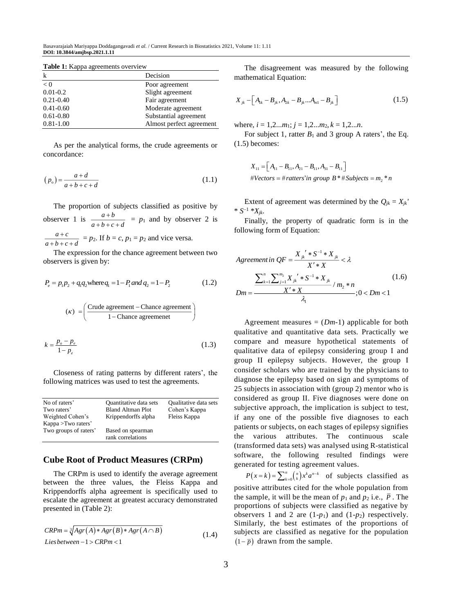Basavarajaiah Mariyappa Doddagangavadi *et al*. / Current Research in Biostatistics 2021, Volume 11: 1.11 **DOI: 10.3844/amjbsp.2021.1.11**

| k             | Decision                 |  |
|---------------|--------------------------|--|
| $\leq 0$      | Poor agreement           |  |
| $0.01 - 0.2$  | Slight agreement         |  |
| $0.21 - 0.40$ | Fair agreement           |  |
| $0.41 - 0.60$ | Moderate agreement       |  |
| $0.61 - 0.80$ | Substantial agreement    |  |
| $0.81 - 1.00$ | Almost perfect agreement |  |

Table 1: Kappa agreements overview

As per the analytical forms, the crude agreements or concordance:

$$
(po) = \frac{a+d}{a+b+c+d}
$$
\n(1.1)

The proportion of subjects classified as positive by observer 1 is  $\frac{a+b}{b}$  $a+b+c+d$  $^+$  $\frac{a+b}{a+b+c+d}$  = *p*<sub>1</sub> and by observer 2 is *a c*  $a + b + c + d$  $\, +$  $\frac{a+c}{b+c+d}$  =  $p_2$ . If  $b = c$ ,  $p_1 = p_2$  and vice versa.

The expression for the chance agreement between two observers is given by:

$$
P_e = p_1 p_2 + q_1 q_2 \text{where } q_1 = 1 - P_1 \text{ and } q_2 = 1 - P_2 \tag{1.2}
$$

$$
(\kappa) = \left(\frac{\text{Crude agreement} - \text{Change agreement}}{1 - \text{Change agreement}}\right)
$$

$$
k = \frac{p_o - p_e}{1 - p_e} \tag{1.3}
$$

Closeness of rating patterns by different raters', the following matrices was used to test the agreements.

| No of raters'         | Quantitative data sets   | Qualitative data sets |
|-----------------------|--------------------------|-----------------------|
| Two raters'           | <b>Bland Altman Plot</b> | Cohen's Kappa         |
| Weighted Cohen's      | Krippendorffs alpha      | Fleiss Kappa          |
| Kappa > Two raters'   |                          |                       |
| Two groups of raters' | Based on spearman        |                       |
|                       | rank correlations        |                       |

# **Cube Root of Product Measures (CRPm)**

The CRPm is used to identify the average agreement between the three values, the Fleiss Kappa and Krippendorffs alpha agreement is specifically used to escalate the agreement at greatest accuracy demonstrated presented in (Table 2):

$$
CRPm = \sqrt[3]{Agr(A)*Agr(B)*Agr(A \cap B)}
$$
  
*Lies between -1* > *CRPm* < 1 (1.4)

The disagreement was measured by the following mathematical Equation:

$$
X_{jk} - \left[A_{1k} - B_{jk}, A_{2k} - B_{jk}...A_{m1} - B_{jk}\right]
$$
 (1.5)

where,  $i = 1, 2...m_1; j = 1, 2...m_2, k = 1, 2...n$ .

For subject 1, ratter  $B_1$  and 3 group A raters', the Eq. (1.5) becomes:

$$
X_{11} = [A_{11} - B_{11}, A_{21} - B_{11}, A_{31} - B_{11}]
$$
  
#Vectors = #ratters'in group B \* #Subjects = m<sub>2</sub> \* n

Extent of agreement was determined by the  $Q_{jk} = X_{jk}$ <sup>'</sup> \*  $S^{-1}$  \* $X_{jk}$ .

Finally, the property of quadratic form is in the following form of Equation:

$$
Agreement in QF = \frac{X_{jk}^{\prime} * S^{-1} * X_{jk}}{X' * X} < \lambda
$$
\n
$$
\sum_{k=1}^{n} \sum_{j=1}^{m_2} X_{jk}^{\prime} * S^{-1} * X_{jk}} / m_2 * n
$$
\n
$$
Dm = \frac{X' * X}{\lambda_1} ; 0 < Dm < 1
$$
\n(1.6)

Agreement measures  $= (Dm-1)$  applicable for both qualitative and quantitative data sets. Practically we compare and measure hypothetical statements of qualitative data of epilepsy considering group I and group II epilepsy subjects. However, the group I consider scholars who are trained by the physicians to diagnose the epilepsy based on sign and symptoms of 25 subjects in association with (group 2) mentor who is considered as group II. Five diagnoses were done on subjective approach, the implication is subject to test, if any one of the possible five diagnoses to each patients or subjects, on each stages of epilepsy signifies the various attributes. The continuous scale (transformed data sets) was analysed using R-statistical software, the following resulted findings were generated for testing agreement values.

 $P(x = k) = \sum_{k=0}^{n} {n \choose k} x^k a^{n-k}$  of subjects classified as positive attributes cited for the whole population from the sample, it will be the mean of  $p_1$  and  $p_2$  i.e.,  $\overline{P}$ . The proportions of subjects were classified as negative by observers 1 and 2 are  $(1-p_1)$  and  $(1-p_2)$  respectively. Similarly, the best estimates of the proportions of subjects are classified as negative for the population  $(1-\bar{p})$  drawn from the sample.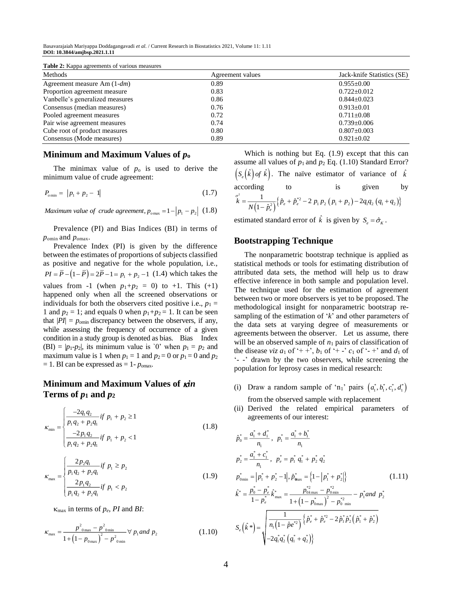Basavarajaiah Mariyappa Doddagangavadi *et al*. / Current Research in Biostatistics 2021, Volume 11: 1.11 **DOI: 10.3844/amjbsp.2021.1.11**

| <b>Table 2:</b> Kappa agreements of various measures |                  |                            |  |  |
|------------------------------------------------------|------------------|----------------------------|--|--|
| Methods                                              | Agreement values | Jack-knife Statistics (SE) |  |  |
| Agreement measure Am $(1-dm)$                        | 0.89             | $0.955 \pm 0.00$           |  |  |
| Proportion agreement measure                         | 0.83             | $0.722 + 0.012$            |  |  |
| Vanbelle's generalized measures                      | 0.86             | $0.844 + 0.023$            |  |  |
| Consensus (median measures)                          | 0.76             | $0.913 \pm 0.01$           |  |  |
| Pooled agreement measures                            | 0.72             | $0.711 + 0.08$             |  |  |
| Pair wise agreement measures                         | 0.74             | $0.739 \pm 0.006$          |  |  |
| Cube root of product measures                        | 0.80             | $0.807 \pm 0.003$          |  |  |
| Consensus (Mode measures)                            | 0.89             | $0.921 \pm 0.02$           |  |  |

#### **Minimum and Maximum Values of** *p***<sup>o</sup>**

The minimax value of  $p_0$  is used to derive the minimum value of crude agreement:

$$
P_{\text{omin}} = |p_1 + p_2 - 1| \tag{1.7}
$$

Maximum value of crude agreement,  $p_{o \text{max}} = 1 - |p_1 - p_2|$  (1.8)

Prevalence (PI) and Bias Indices (BI) in terms of *po*min and *po*max.

Prevalence Index (PI) is given by the difference between the estimates of proportions of subjects classified as positive and negative for the whole population, i.e.,  $PI = \overline{P} - (1 - \overline{P}) = 2\overline{P} - 1 = p_1 + p_2 - 1$  (1.4) which takes the values from -1 (when  $p_1+p_2 = 0$ ) to +1. This (+1) happened only when all the screened observations or individuals for both the observers cited positive i.e.,  $p_1 =$ 1 and  $p_2 = 1$ ; and equals 0 when  $p_1 + p_2 = 1$ . It can be seen that  $|PI| = p_{\text{omin}}$  discrepancy between the observers, if any, while assessing the frequency of occurrence of a given condition in a study group is denoted as bias. Bias Index (BI) =  $|p_1-p_2|$ , its minimum value is '0' when  $p_1 = p_2$  and maximum value is 1 when  $p_1 = 1$  and  $p_2 = 0$  or  $p_1 = 0$  and  $p_2$  $= 1$ . BI can be expressed as  $= 1$ -  $p_{\text{omax}}$ .

# **Minimum and Maximum Values of**  $\boldsymbol{\kappa}$ **in Terms of**  $p_1$  **and**  $p_2$

$$
\kappa_{\min} = \begin{cases}\n\frac{-2q_1q_2}{p_1q_2 + p_2q_1} & \text{if } p_1 + p_2 \ge 1 \\
\frac{-2p_1q_2}{p_1q_2 + p_2q_1} & \text{if } p_1 + p_2 < 1\n\end{cases} \tag{1.8}
$$

$$
\kappa_{\max} = \begin{cases}\n\frac{2p_2q_1}{p_1q_2 + p_2q_1} & \text{if } p_1 \ge p_2 \\
\frac{2p_1q_2}{p_1q_2 + p_2q_1} & \text{if } p_1 < p_2\n\end{cases} \tag{1.9}
$$

 $\kappa_{\text{max}}$  in terms of  $p_e$ , PI and BI:

$$
\kappa_{\max} = \frac{p^2_{\text{0max}} - p^2_{\text{0min}}}{1 + (1 - p_{\text{0max}})^2 - p^2_{\text{0min}}} \,\forall \, p_1 \text{ and } p_2 \tag{1.10}
$$

Which is nothing but Eq. (1.9) except that this can assume all values of  $p_1$  and  $p_2$  Eq. (1.10) Standard Error?  $\left(S_e(\hat{k}) \text{ of } \hat{k}\right)$ . The naïve estimator of variance of  $\hat{k}$ according to is given by  $\hat{z} = \frac{1}{N(1-\hat{p}_e^2)} \left\{ \hat{p}_e + \hat{p}_e^{*2} - 2 p_1 p_2 (p_1 + p_2) - 2q_1 q_2 (q_1 + q_2) \right\}$  $\int_{R}^{\sigma^2} = \frac{1}{N(1-\hat{p}_e^2)} \left\{ \hat{p}_e + \hat{p}_e^{*2} - 2 p_1 p_2 (p_1 + p_2) - 2q_1 q_2 (q_1 + q_2) \right\}$ cording to is given by<br>= $\frac{1}{N(1-\hat{p}_e^2)} \{\hat{p}_e + \hat{p}_e^{*2} - 2 p_1 p_2 (p_1 + p_2) - 2q_1 q_2 (q_1 + q_2)\}\$ 

estimated standard error of  $\hat{k}$  is given by  $S_e = \hat{\sigma}_k$ .

## **Bootstrapping Technique**

The nonparametric bootstrap technique is applied as statistical methods or tools for estimating distribution of attributed data sets, the method will help us to draw effective inference in both sample and population level. The technique used for the estimation of agreement between two or more observers is yet to be proposed. The methodological insight for nonparametric bootstrap resampling of the estimation of '*k*' and other parameters of the data sets at varying degree of measurements or agreements between the observer. Let us assume, there will be an observed sample of  $n_1$  pairs of classification of the disease *viz*  $a_1$  of '++',  $b_1$  of '+-'  $c_1$  of '-+' and  $d_1$  of '- -' drawn by the two observers, while screening the population for leprosy cases in medical research:

- (i) Draw a random sample of 'n<sub>1</sub>' pairs  $(a_1^*, b_1^*, c_1^*, d_1^*)$ from the observed sample with replacement
- (ii) Derived the related empirical parameters of agreements of our interest:

$$
\hat{p}_0^* = \frac{a_1^* + d_1^*}{n_1}, \ \ p_1^* = \frac{a_1^* + b_1^*}{n_1}
$$
\n
$$
p_2^* = \frac{a_1^* + c_1^*}{n_1}, \ \ p_e^* = p_1^* q_1^* + p_2^* q_2^*
$$
\n
$$
p_{\text{omin}}^* = |p_1^* + p_2^* - 1|, \ \hat{p}_{\text{max}}^* = \{1 - |p_1^* + p_2^*|\}
$$
\n
$$
\hat{k}^* = \frac{p_0^* - p_e^*}{1 - p_e^*} \hat{k}_{\text{max}}^* = \frac{p_{\text{0kmax}}^* - p_{\text{0min}}^*}{1 + (1 - p_{\text{0max}}^*)^2 - p_{\text{0min}}^*} - p_1^* \text{ and } p_2^*
$$
\n
$$
S_e(\hat{k}^*) = \sqrt{\frac{1}{n_1(1 - \hat{p}e^{*2})} \{\hat{p}_e^* + \hat{p}_e^{*2} - 2\hat{p}_1^*\hat{p}_2^*(\hat{p}_1^* + \hat{p}_2^*)}
$$
\n
$$
-2q_1^* q_2^* (q_1^* + q_2^*)\}
$$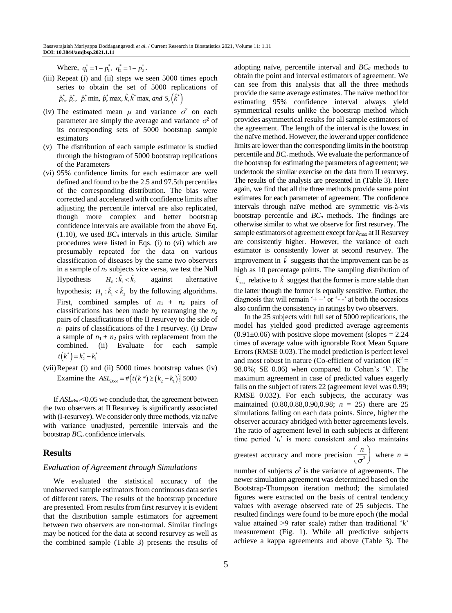Where,  $q_1^* = 1 - p_1^*$ ,  $q_2^* = 1 - p_2^*$ .

- (iii) Repeat (i) and (ii) steps we seen 5000 times epoch series to obtain the set of 5000 replications of  $\hat{p}_0^*, \hat{p}_e^*, \hat{p}_e^*$  min,  $\hat{p}_e^*$  max,  $\hat{k}, \hat{k}^*$  max, and  $S_e(\hat{k}^*)$
- (iv) The estimated mean  $\mu$  and variance  $\sigma^2$  on each parameter are simply the average and variance  $\sigma^2$  of its corresponding sets of 5000 bootstrap sample estimators
- (v) The distribution of each sample estimator is studied through the histogram of 5000 bootstrap replications of the Parameters
- (vi) 95% confidence limits for each estimator are well defined and found to be the 2.5 and 97.5th percentiles of the corresponding distribution. The bias were corrected and accelerated with confidence limits after adjusting the percentile interval are also replicated, though more complex and better bootstrap confidence intervals are available from the above Eq.  $(1.10)$ , we used  $BC_a$  intervals in this article. Similar procedures were listed in Eqs. (i) to (vi) which are presumably repeated for the data on various classification of diseases by the same two observers in a sample of  $n_2$  subjects vice versa, we test the Null Hypothesis  $H_0: \hat{k_1} < \hat{k_2}$ against alternative hypothesis;  $H_1: \hat{k}_1 < \hat{k}_2$  by the following algorithms. First, combined samples of  $n_1 + n_2$  pairs of classifications has been made by rearranging the  $n_2$ pairs of classifications of the II resurvey to the side of  $n_1$  pairs of classifications of the I resurvey. (i) Draw a sample of  $n_1 + n_2$  pairs with replacement from the combined. (ii) Evaluate for each sample  $t(k^*) = k_2^* - k_1^*$
- (vii)Repeat (i) and (ii) 5000 times bootstrap values (iv) Examine the  $ASL_{\text{Root}} = #\{t(k^*) \geq (k_2 - k_1)\}$  5000

If *ASLBoot*<0.05 we conclude that, the agreement between the two observers at II Resurvey is significantly associated with (I-resurvey). We consider only three methods, viz naïve with variance unadjusted, percentile intervals and the bootstrap *BC<sup>a</sup>* confidence intervals.

# **Results**

#### *Evaluation of Agreement through Simulations*

We evaluated the statistical accuracy of the unobserved sample estimators from continuous data series of different raters. The results of the bootstrap procedure are presented. From results from first resurvey it is evident that the distribution sample estimators for agreement between two observers are non-normal. Similar findings may be noticed for the data at second resurvey as well as the combined sample (Table 3) presents the results of adopting naïve, percentile interval and *BC<sup>a</sup>* methods to obtain the point and interval estimators of agreement. We can see from this analysis that all the three methods provide the same average estimates. The naïve method for estimating 95% confidence interval always yield symmetrical results unlike the bootstrap method which provides asymmetrical results for all sample estimators of the agreement. The length of the interval is the lowest in the naïve method. However, the lower and upper confidence limits are lower than the corresponding limits in the bootstrap percentile and *BC<sup>a</sup>* methods. We evaluate the performance of the bootstrap for estimating the parameters of agreement; we undertook the similar exercise on the data from II resurvey. The results of the analysis are presented in (Table 3). Here again, we find that all the three methods provide same point estimates for each parameter of agreement. The confidence intervals through naïve method are symmetric vis-à-vis bootstrap percentile and *BC<sup>a</sup>* methods. The findings are otherwise similar to what we observe for first resurvey. The sample estimators of agreement except for  $k_{\text{max}}$  at II Resurvey are consistently higher. However, the variance of each estimator is consistently lower at second resurvey. The improvement in  $\hat{k}$  suggests that the improvement can be as high as 10 percentage points. The sampling distribution of max  $\hat{k}_{\text{max}}$  relative to  $\hat{k}$  suggest that the former is more stable than the latter though the former is equally sensitive. Further, the diagnosis that will remain  $+$  +  $\sigma$  or  $-$  -  $\sigma$  at both the occasions also confirm the consistency in ratings by two observers.

In the 25 subjects with full set of 5000 replications, the model has yielded good predicted average agreements  $(0.91\pm0.06)$  with positive slope movement (slopes = 2.24) times of average value with ignorable Root Mean Square Errors (RMSE 0.03). The model prediction is perfect level and most robust in nature (Co-efficient of variation  $(R^2 =$ 98.0%; SE 0.06) when compared to Cohen's '*k*'. The maximum agreement in case of predicted values eagerly falls on the subject of raters 22 (agreement level was 0.99; RMSE 0.032). For each subjects, the accuracy was maintained (0.80,0.88,0.90,0.98; *n* = 25) there are 25 simulations falling on each data points. Since, higher the observer accuracy abridged with better agreements levels. The ratio of agreement level in each subjects at different time period '*ti*' is more consistent and also maintains

greatest accuracy and more precision  $\frac{1}{2}$ 

$$
\left(\frac{n}{\sigma^2}\right)
$$
 where  $n =$ 

number of subjects  $\sigma^2$  is the variance of agreements. The newer simulation agreement was determined based on the Bootstrap-Thompson iteration method; the simulated figures were extracted on the basis of central tendency values with average observed rate of 25 subjects. The resulted findings were found to be more epoch (the modal value attained >9 rater scale) rather than traditional '*k*' measurement (Fig. 1). While all predictive subjects achieve a kappa agreements and above (Table 3). The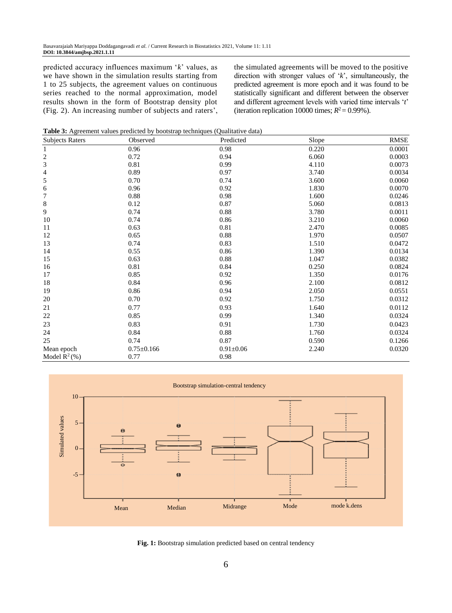predicted accuracy influences maximum '*k*' values, as we have shown in the simulation results starting from 1 to 25 subjects, the agreement values on continuous series reached to the normal approximation, model results shown in the form of Bootstrap density plot (Fig. 2). An increasing number of subjects and raters', the simulated agreements will be moved to the positive direction with stronger values of '*k*', simultaneously, the predicted agreement is more epoch and it was found to be statistically significant and different between the observer and different agreement levels with varied time intervals '*t*' (iteration replication 10000 times;  $R^2 = 0.99\%$ ).

**Table 3:** Agreement values predicted by bootstrap techniques (Qualitative data)

| <b>Subjects Raters</b> | Observed         | Predicted     | Slope | <b>RMSE</b> |
|------------------------|------------------|---------------|-------|-------------|
| $\mathbf{1}$           | 0.96             | 0.98          | 0.220 | 0.0001      |
|                        | 0.72             | 0.94          | 6.060 | 0.0003      |
| $\frac{2}{3}$          | 0.81             | 0.99          | 4.110 | 0.0073      |
| 4                      | 0.89             | 0.97          | 3.740 | 0.0034      |
| 5                      | 0.70             | 0.74          | 3.600 | 0.0060      |
| $\epsilon$             | 0.96             | 0.92          | 1.830 | 0.0070      |
| $\overline{7}$         | 0.88             | 0.98          | 1.600 | 0.0246      |
| $\,8\,$                | 0.12             | 0.87          | 5.060 | 0.0813      |
| $\overline{9}$         | 0.74             | 0.88          | 3.780 | 0.0011      |
| 10                     | 0.74             | 0.86          | 3.210 | 0.0060      |
| 11                     | 0.63             | 0.81          | 2.470 | 0.0085      |
| 12                     | 0.65             | 0.88          | 1.970 | 0.0507      |
| 13                     | 0.74             | 0.83          | 1.510 | 0.0472      |
| 14                     | 0.55             | 0.86          | 1.390 | 0.0134      |
| 15                     | 0.63             | 0.88          | 1.047 | 0.0382      |
| 16                     | 0.81             | 0.84          | 0.250 | 0.0824      |
| 17                     | 0.85             | 0.92          | 1.350 | 0.0176      |
| 18                     | 0.84             | 0.96          | 2.100 | 0.0812      |
| 19                     | 0.86             | 0.94          | 2.050 | 0.0551      |
| 20                     | 0.70             | 0.92          | 1.750 | 0.0312      |
| 21                     | 0.77             | 0.93          | 1.640 | 0.0112      |
| 22                     | 0.85             | 0.99          | 1.340 | 0.0324      |
| 23                     | 0.83             | 0.91          | 1.730 | 0.0423      |
| 24                     | 0.84             | 0.88          | 1.760 | 0.0324      |
| 25                     | 0.74             | 0.87          | 0.590 | 0.1266      |
| Mean epoch             | $0.75 \pm 0.166$ | $0.91\pm0.06$ | 2.240 | 0.0320      |
| Model $R^2$ (%)        | 0.77             | 0.98          |       |             |



**Fig. 1:** Bootstrap simulation predicted based on central tendency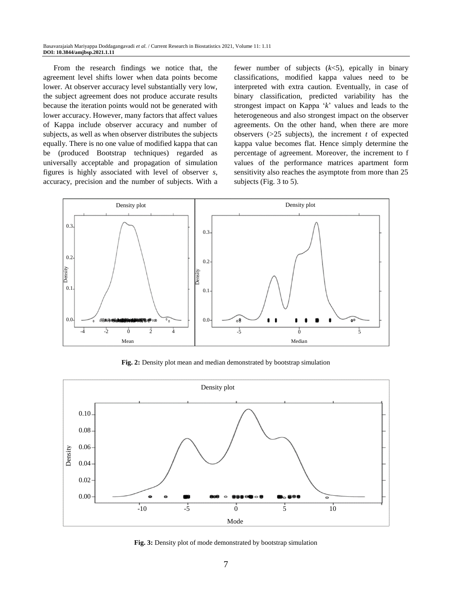From the research findings we notice that, the agreement level shifts lower when data points become lower. At observer accuracy level substantially very low, the subject agreement does not produce accurate results because the iteration points would not be generated with lower accuracy. However, many factors that affect values of Kappa include observer accuracy and number of subjects, as well as when observer distributes the subjects equally. There is no one value of modified kappa that can be (produced Bootstrap techniques) regarded as universally acceptable and propagation of simulation figures is highly associated with level of observer *s*, accuracy, precision and the number of subjects. With a

fewer number of subjects  $(k<5)$ , epically in binary classifications, modified kappa values need to be interpreted with extra caution. Eventually, in case of binary classification, predicted variability has the strongest impact on Kappa '*k*' values and leads to the heterogeneous and also strongest impact on the observer agreements. On the other hand, when there are more observers  $(>=25$  subjects), the increment *t* of expected kappa value becomes flat. Hence simply determine the percentage of agreement. Moreover, the increment to f values of the performance matrices apartment form sensitivity also reaches the asymptote from more than 25 subjects (Fig. 3 to 5).



**Fig. 2:** Density plot mean and median demonstrated by bootstrap simulation



**Fig. 3:** Density plot of mode demonstrated by bootstrap simulation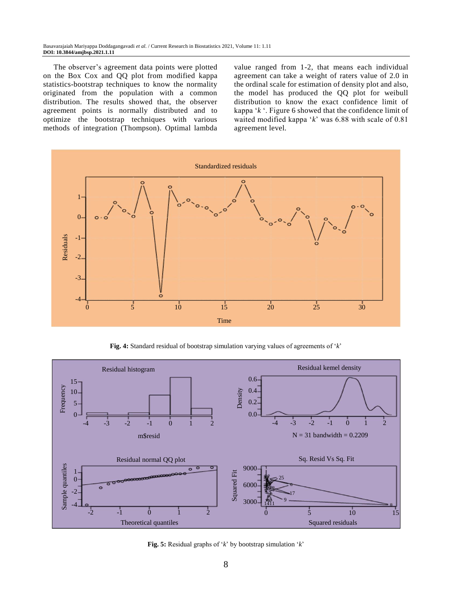The observer's agreement data points were plotted on the Box Cox and QQ plot from modified kappa statistics-bootstrap techniques to know the normality originated from the population with a common distribution. The results showed that, the observer agreement points is normally distributed and to optimize the bootstrap techniques with various methods of integration (Thompson). Optimal lambda value ranged from 1-2, that means each individual agreement can take a weight of raters value of 2.0 in the ordinal scale for estimation of density plot and also, the model has produced the QQ plot for weibull distribution to know the exact confidence limit of kappa '*k* '. Figure 6 showed that the confidence limit of waited modified kappa '*k*' was 6.88 with scale of 0.81 agreement level.



**Fig. 4:** Standard residual of bootstrap simulation varying values of agreements of '*k*'



**Fig. 5:** Residual graphs of '*k*' by bootstrap simulation '*k*'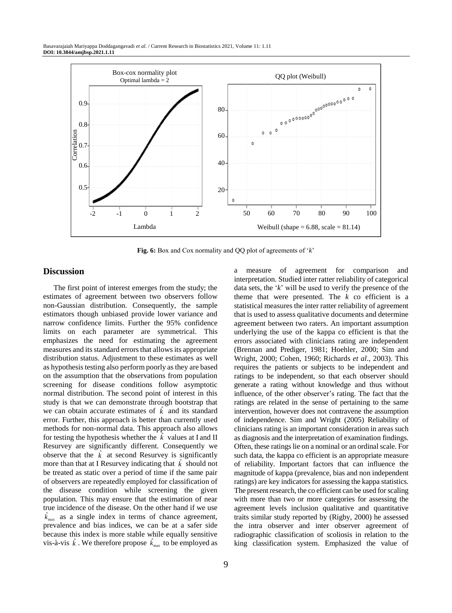

**Fig. 6:** Box and Cox normality and QQ plot of agreements of '*k*'

#### **Discussion**

The first point of interest emerges from the study; the estimates of agreement between two observers follow non-Gaussian distribution. Consequently, the sample estimators though unbiased provide lower variance and narrow confidence limits. Further the 95% confidence limits on each parameter are symmetrical. This emphasizes the need for estimating the agreement measures and its standard errors that allows its appropriate distribution status. Adjustment to these estimates as well as hypothesis testing also perform poorly as they are based on the assumption that the observations from population screening for disease conditions follow asymptotic normal distribution. The second point of interest in this study is that we can demonstrate through bootstrap that we can obtain accurate estimates of  $\hat{k}$  and its standard error. Further, this approach is better than currently used methods for non-normal data. This approach also allows for testing the hypothesis whether the  $\hat{k}$  values at I and II Resurvey are significantly different. Consequently we observe that the  $\hat{k}$  at second Resurvey is significantly more than that at I Resurvey indicating that  $\hat{k}$  should not be treated as static over a period of time if the same pair of observers are repeatedly employed for classification of the disease condition while screening the given population. This may ensure that the estimation of near true incidence of the disease. On the other hand if we use max  $\hat{k}_{\text{max}}$  as a single index in terms of chance agreement, prevalence and bias indices, we can be at a safer side because this index is more stable while equally sensitive vis-à-vis  $\hat{k}$ . We therefore propose  $\hat{k}_{\text{max}}$  $\hat{k}_{\text{max}}$  to be employed as a measure of agreement for comparison and interpretation. Studied inter ratter reliability of categorical data sets, the '*k*' will be used to verify the presence of the theme that were presented. The  $k$  co efficient is a statistical measures the inter ratter reliability of agreement that is used to assess qualitative documents and determine agreement between two raters. An important assumption underlying the use of the kappa co efficient is that the errors associated with clinicians rating are independent (Brennan and Prediger, 1981; Hoehler, 2000; Sim and Wright, 2000; Cohen, 1960; Richards *et al*., 2003). This requires the patients or subjects to be independent and ratings to be independent, so that each observer should generate a rating without knowledge and thus without influence, of the other observer's rating. The fact that the ratings are related in the sense of pertaining to the same intervention, however does not contravene the assumption of independence. Sim and Wright (2005) Reliability of clinicians rating is an important consideration in areas such as diagnosis and the interpretation of examination findings. Often, these ratings lie on a nominal or an ordinal scale. For such data, the kappa co efficient is an appropriate measure of reliability. Important factors that can influence the magnitude of kappa (prevalence, bias and non independent ratings) are key indicators for assessing the kappa statistics. The present research, the co efficient can be used for scaling with more than two or more categories for assessing the agreement levels inclusion qualitative and quantitative traits similar study reported by (Rigby, 2000) he assessed the intra observer and inter observer agreement of radiographic classification of scoliosis in relation to the king classification system. Emphasized the value of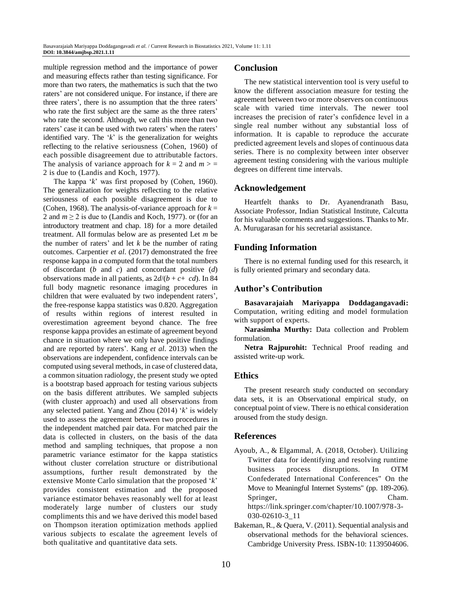multiple regression method and the importance of power and measuring effects rather than testing significance. For more than two raters, the mathematics is such that the two raters' are not considered unique. For instance, if there are three raters', there is no assumption that the three raters' who rate the first subject are the same as the three raters' who rate the second. Although, we call this more than two raters' case it can be used with two raters' when the raters' identified vary. The '*k*' is the generalization for weights reflecting to the relative seriousness (Cohen, 1960) of each possible disagreement due to attributable factors. The analysis of variance approach for  $k = 2$  and  $m > \pm 2$ 2 is due to (Landis and Koch, 1977).

The kappa '*k*' was first proposed by (Cohen, 1960). The generalization for weights reflecting to the relative seriousness of each possible disagreement is due to (Cohen, 1968). The analysis-of-variance approach for  $k =$ 2 and  $m \ge 2$  is due to (Landis and Koch, 1977). or (for an introductory treatment and chap. 18) for a more detailed treatment. All formulas below are as presented Let *m* be the number of raters' and let *k* be the number of rating outcomes. Carpentier *et al*. (2017) demonstrated the free response kappa in *a* computed form that the total numbers of discordant (*b* and *c*) and concordant positive (*d*) observations made in all patients, as  $2d/(b + c + cd)$ . In 84 full body magnetic resonance imaging procedures in children that were evaluated by two independent raters', the free-response kappa statistics was 0.820. Aggregation of results within regions of interest resulted in overestimation agreement beyond chance. The free response kappa provides an estimate of agreement beyond chance in situation where we only have positive findings and are reported by raters'. Kang *et al*. 2013) when the observations are independent, confidence intervals can be computed using several methods, in case of clustered data, a common situation radiology, the present study we opted is a bootstrap based approach for testing various subjects on the basis different attributes. We sampled subjects (with cluster approach) and used all observations from any selected patient. Yang and Zhou (2014) '*k*' is widely used to assess the agreement between two procedures in the independent matched pair data. For matched pair the data is collected in clusters, on the basis of the data method and sampling techniques, that propose a non parametric variance estimator for the kappa statistics without cluster correlation structure or distributional assumptions, further result demonstrated by the extensive Monte Carlo simulation that the proposed '*k*' provides consistent estimation and the proposed variance estimator behaves reasonably well for at least moderately large number of clusters our study compliments this and we have derived this model based on Thompson iteration optimization methods applied various subjects to escalate the agreement levels of both qualitative and quantitative data sets.

#### **Conclusion**

The new statistical intervention tool is very useful to know the different association measure for testing the agreement between two or more observers on continuous scale with varied time intervals. The newer tool increases the precision of rater's confidence level in a single real number without any substantial loss of information. It is capable to reproduce the accurate predicted agreement levels and slopes of continuous data series. There is no complexity between inter observer agreement testing considering with the various multiple degrees on different time intervals.

#### **Acknowledgement**

Heartfelt thanks to Dr. Ayanendranath Basu, Associate Professor, Indian Statistical Institute, Calcutta for his valuable comments and suggestions. Thanks to Mr. A. Murugarasan for his secretarial assistance.

## **Funding Information**

There is no external funding used for this research, it is fully oriented primary and secondary data.

#### **Author's Contribution**

**Basavarajaiah Mariyappa Doddagangavadi:** Computation, writing editing and model formulation with support of experts.

**Narasimha Murthy:** Data collection and Problem formulation.

**Netra Rajpurohit:** Technical Proof reading and assisted write-up work.

#### **Ethics**

The present research study conducted on secondary data sets, it is an Observational empirical study, on conceptual point of view. There is no ethical consideration aroused from the study design.

#### **References**

- Ayoub, A., & Elgammal, A. (2018, October). Utilizing Twitter data for identifying and resolving runtime business process disruptions. In OTM Confederated International Conferences" On the Move to Meaningful Internet Systems" (pp. 189-206). Springer, Cham. https://link.springer.com/chapter/10.1007/978-3- 030-02610-3\_11
- Bakeman, R., & Quera, V. (2011). Sequential analysis and observational methods for the behavioral sciences. Cambridge University Press. ISBN-10: 1139504606.